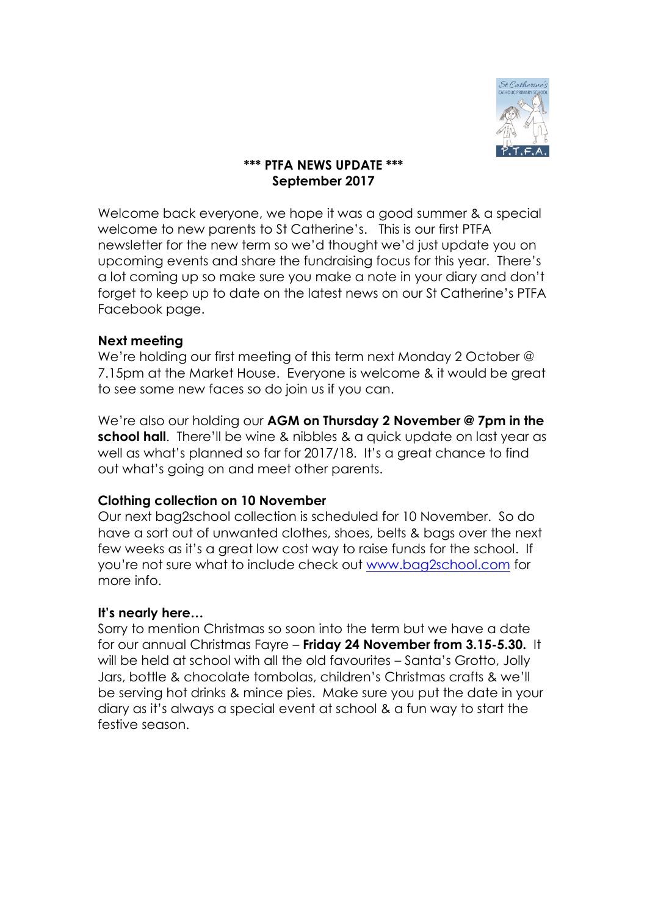

# **\*\*\* PTFA NEWS UPDATE \*\*\* September 2017**

Welcome back everyone, we hope it was a good summer & a special welcome to new parents to St Catherine's. This is our first PTFA newsletter for the new term so we'd thought we'd just update you on upcoming events and share the fundraising focus for this year. There's a lot coming up so make sure you make a note in your diary and don't forget to keep up to date on the latest news on our St Catherine's PTFA Facebook page.

## **Next meeting**

We're holding our first meeting of this term next Monday 2 October @ 7.15pm at the Market House. Everyone is welcome & it would be great to see some new faces so do join us if you can.

We're also our holding our **AGM on Thursday 2 November @ 7pm in the school hall**. There'll be wine & nibbles & a quick update on last year as well as what's planned so far for 2017/18. It's a great chance to find out what's going on and meet other parents.

## **Clothing collection on 10 November**

Our next bag2school collection is scheduled for 10 November. So do have a sort out of unwanted clothes, shoes, belts & bags over the next few weeks as it's a great low cost way to raise funds for the school. If you're not sure what to include check out [www.bag2school.com](http://www.bag2school.com/) for more info.

## **It's nearly here…**

Sorry to mention Christmas so soon into the term but we have a date for our annual Christmas Fayre – **Friday 24 November from 3.15-5.30.** It will be held at school with all the old favourites – Santa's Grotto, Jolly Jars, bottle & chocolate tombolas, children's Christmas crafts & we'll be serving hot drinks & mince pies. Make sure you put the date in your diary as it's always a special event at school & a fun way to start the festive season.